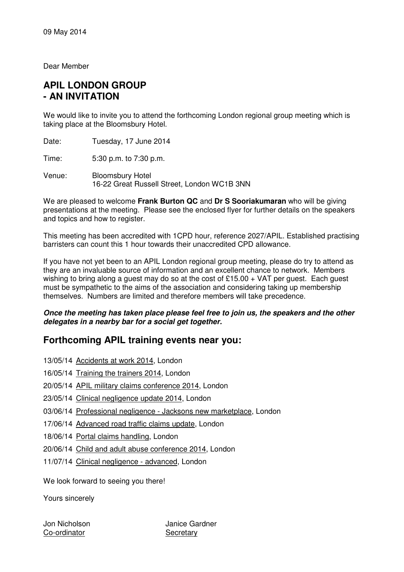Dear Member

## **APIL LONDON GROUP - AN INVITATION**

We would like to invite you to attend the forthcoming London regional group meeting which is taking place at the Bloomsbury Hotel.

Date: Tuesday, 17 June 2014

Time: 5:30 p.m. to 7:30 p.m.

Venue: Bloomsbury Hotel 16-22 Great Russell Street, London WC1B 3NN

We are pleased to welcome **Frank Burton QC** and **Dr S Sooriakumaran** who will be giving presentations at the meeting. Please see the enclosed flyer for further details on the speakers and topics and how to register.

This meeting has been accredited with 1CPD hour, reference 2027/APIL. Established practising barristers can count this 1 hour towards their unaccredited CPD allowance.

If you have not yet been to an APIL London regional group meeting, please do try to attend as they are an invaluable source of information and an excellent chance to network. Members wishing to bring along a guest may do so at the cost of £15.00  $+$  VAT per guest. Each guest must be sympathetic to the aims of the association and considering taking up membership themselves. Numbers are limited and therefore members will take precedence.

#### **Once the meeting has taken place please feel free to join us, the speakers and the other delegates in a nearby bar for a social get together.**

### **Forthcoming APIL training events near you:**

- 13/05/14 Accidents at work 2014, London
- 16/05/14 Training the trainers 2014, London
- 20/05/14 APIL military claims conference 2014, London
- 23/05/14 Clinical negligence update 2014, London
- 03/06/14 Professional negligence Jacksons new marketplace, London
- 17/06/14 Advanced road traffic claims update, London
- 18/06/14 Portal claims handling, London
- 20/06/14 Child and adult abuse conference 2014, London
- 11/07/14 Clinical negligence advanced, London

We look forward to seeing you there!

Yours sincerely

Co-ordinator Secretary

Jon Nicholson Janice Gardner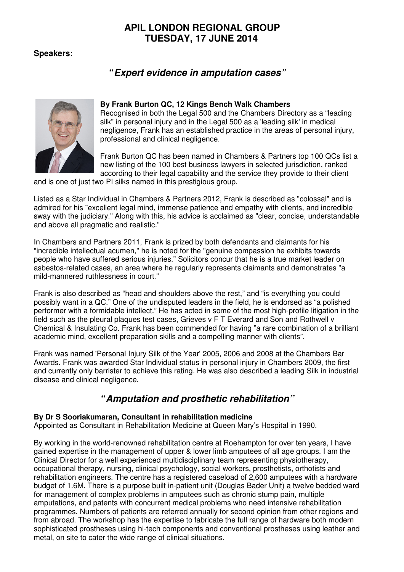## **APIL LONDON REGIONAL GROUP TUESDAY, 17 JUNE 2014**

**Speakers:** 

# **"Expert evidence in amputation cases"**



### **By Frank Burton QC, 12 Kings Bench Walk Chambers**

Recognised in both the Legal 500 and the Chambers Directory as a "leading silk" in personal injury and in the Legal 500 as a 'leading silk' in medical negligence, Frank has an established practice in the areas of personal injury, professional and clinical negligence.

Frank Burton QC has been named in Chambers & Partners top 100 QCs list a new listing of the 100 best business lawyers in selected jurisdiction, ranked according to their legal capability and the service they provide to their client

and is one of just two PI silks named in this prestigious group.

Listed as a Star Individual in Chambers & Partners 2012, Frank is described as "colossal" and is admired for his "excellent legal mind, immense patience and empathy with clients, and incredible sway with the judiciary." Along with this, his advice is acclaimed as "clear, concise, understandable and above all pragmatic and realistic."

In Chambers and Partners 2011, Frank is prized by both defendants and claimants for his "incredible intellectual acumen," he is noted for the "genuine compassion he exhibits towards people who have suffered serious injuries." Solicitors concur that he is a true market leader on asbestos-related cases, an area where he regularly represents claimants and demonstrates "a mild-mannered ruthlessness in court."

Frank is also described as "head and shoulders above the rest," and "is everything you could possibly want in a QC." One of the undisputed leaders in the field, he is endorsed as "a polished performer with a formidable intellect." He has acted in some of the most high-profile litigation in the field such as the pleural plaques test cases, Grieves v F T Everard and Son and Rothwell v Chemical & Insulating Co. Frank has been commended for having "a rare combination of a brilliant academic mind, excellent preparation skills and a compelling manner with clients".

Frank was named 'Personal Injury Silk of the Year' 2005, 2006 and 2008 at the Chambers Bar Awards. Frank was awarded Star Individual status in personal injury in Chambers 2009, the first and currently only barrister to achieve this rating. He was also described a leading Silk in industrial disease and clinical negligence.

# **"Amputation and prosthetic rehabilitation"**

#### **By Dr S Sooriakumaran, Consultant in rehabilitation medicine**

Appointed as Consultant in Rehabilitation Medicine at Queen Mary's Hospital in 1990.

By working in the world-renowned rehabilitation centre at Roehampton for over ten years, I have gained expertise in the management of upper & lower limb amputees of all age groups. I am the Clinical Director for a well experienced multidisciplinary team representing physiotherapy, occupational therapy, nursing, clinical psychology, social workers, prosthetists, orthotists and rehabilitation engineers. The centre has a registered caseload of 2,600 amputees with a hardware budget of 1.6M. There is a purpose built in-patient unit (Douglas Bader Unit) a twelve bedded ward for management of complex problems in amputees such as chronic stump pain, multiple amputations, and patents with concurrent medical problems who need intensive rehabilitation programmes. Numbers of patients are referred annually for second opinion from other regions and from abroad. The workshop has the expertise to fabricate the full range of hardware both modern sophisticated prostheses using hi-tech components and conventional prostheses using leather and metal, on site to cater the wide range of clinical situations.